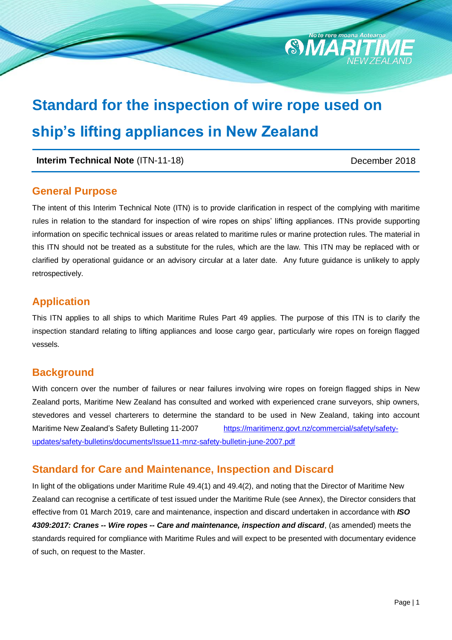# **Standard for the inspection of wire rope used on ship's lifting appliances in New Zealand**

### **Interim Technical Note** (ITN-11-18) December 2018

**SMA** 

### **General Purpose**

The intent of this Interim Technical Note (ITN) is to provide clarification in respect of the complying with maritime rules in relation to the standard for inspection of wire ropes on ships' lifting appliances. ITNs provide supporting information on specific technical issues or areas related to maritime rules or marine protection rules. The material in this ITN should not be treated as a substitute for the rules, which are the law. This ITN may be replaced with or clarified by operational guidance or an advisory circular at a later date. Any future guidance is unlikely to apply retrospectively.

### **Application**

This ITN applies to all ships to which Maritime Rules Part 49 applies. The purpose of this ITN is to clarify the inspection standard relating to lifting appliances and loose cargo gear, particularly wire ropes on foreign flagged vessels.

### **Background**

With concern over the number of failures or near failures involving wire ropes on foreign flagged ships in New Zealand ports, Maritime New Zealand has consulted and worked with experienced crane surveyors, ship owners, stevedores and vessel charterers to determine the standard to be used in New Zealand, taking into account Maritime New Zealand's Safety Bulleting 11-2007 [https://maritimenz.govt.nz/commercial/safety/safety](https://maritimenz.govt.nz/commercial/safety/safety-updates/safety-bulletins/documents/Issue11-mnz-safety-bulletin-june-2007.pdf)[updates/safety-bulletins/documents/Issue11-mnz-safety-bulletin-june-2007.pdf](https://maritimenz.govt.nz/commercial/safety/safety-updates/safety-bulletins/documents/Issue11-mnz-safety-bulletin-june-2007.pdf)

### **Standard for Care and Maintenance, Inspection and Discard**

In light of the obligations under Maritime Rule 49.4(1) and 49.4(2), and noting that the Director of Maritime New Zealand can recognise a certificate of test issued under the Maritime Rule (see Annex), the Director considers that effective from 01 March 2019, care and maintenance, inspection and discard undertaken in accordance with *ISO 4309:2017: Cranes -- Wire ropes -- Care and maintenance, inspection and discard*, (as amended) meets the standards required for compliance with Maritime Rules and will expect to be presented with documentary evidence of such, on request to the Master.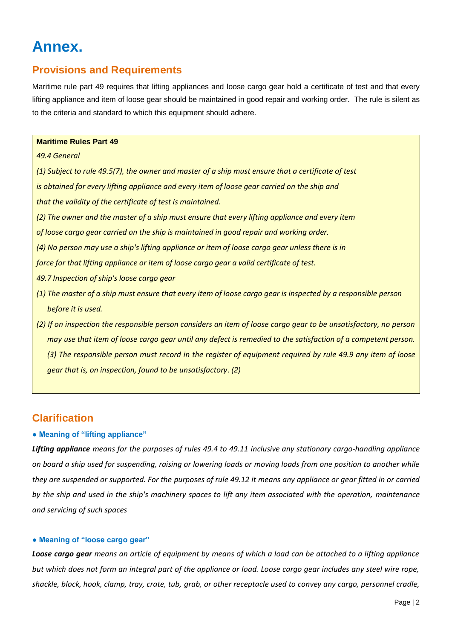## **Annex.**

### **Provisions and Requirements**

Maritime rule part 49 requires that lifting appliances and loose cargo gear hold a certificate of test and that every lifting appliance and item of loose gear should be maintained in good repair and working order. The rule is silent as to the criteria and standard to which this equipment should adhere.

### **Maritime Rules Part 49**

### *49.4 General*

*(1) Subject to rule 49.5(7), the owner and master of a ship must ensure that a certificate of test is obtained for every lifting appliance and every item of loose gear carried on the ship and that the validity of the certificate of test is maintained.*

- *(2) The owner and the master of a ship must ensure that every lifting appliance and every item*
- *of loose cargo gear carried on the ship is maintained in good repair and working order.*
- *(4) No person may use a ship's lifting appliance or item of loose cargo gear unless there is in*
- *force for that lifting appliance or item of loose cargo gear a valid certificate of test.*
- *49.7 Inspection of ship's loose cargo gear*
- *(1) The master of a ship must ensure that every item of loose cargo gear is inspected by a responsible person before it is used.*
- *(2) If on inspection the responsible person considers an item of loose cargo gear to be unsatisfactory, no person may use that item of loose cargo gear until any defect is remedied to the satisfaction of a competent person. (3) The responsible person must record in the register of equipment required by rule 49.9 any item of loose gear that is, on inspection, found to be unsatisfactory*. *(2)*

### **Clarification**

### **● Meaning of "lifting appliance"**

*Lifting appliance means for the purposes of rules 49.4 to 49.11 inclusive any stationary cargo-handling appliance on board a ship used for suspending, raising or lowering loads or moving loads from one position to another while they are suspended or supported. For the purposes of rule 49.12 it means any appliance or gear fitted in or carried by the ship and used in the ship's machinery spaces to lift any item associated with the operation, maintenance and servicing of such spaces*

### **● Meaning of "loose cargo gear"**

*Loose cargo gear means an article of equipment by means of which a load can be attached to a lifting appliance but which does not form an integral part of the appliance or load. Loose cargo gear includes any steel wire rope, shackle, block, hook, clamp, tray, crate, tub, grab, or other receptacle used to convey any cargo, personnel cradle,*